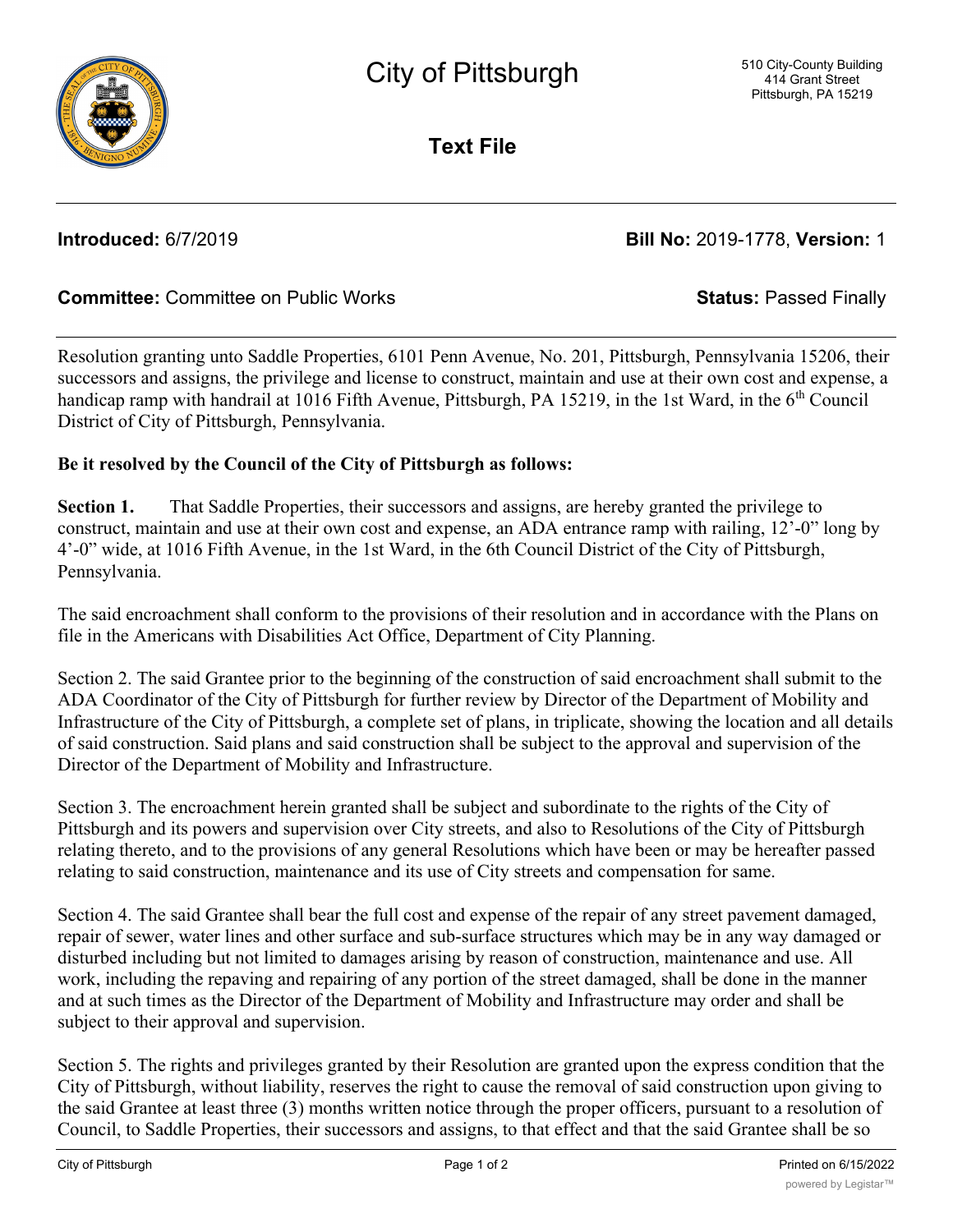

**Text File**

# **Introduced:** 6/7/2019 **Bill No:** 2019-1778, **Version:** 1

## **Committee:** Committee on Public Works **Status:** Passed Finally

Resolution granting unto Saddle Properties, 6101 Penn Avenue, No. 201, Pittsburgh, Pennsylvania 15206, their successors and assigns, the privilege and license to construct, maintain and use at their own cost and expense, a handicap ramp with handrail at 1016 Fifth Avenue, Pittsburgh, PA 15219, in the 1st Ward, in the  $6<sup>th</sup>$  Council District of City of Pittsburgh, Pennsylvania.

### **Be it resolved by the Council of the City of Pittsburgh as follows:**

**Section 1.** That Saddle Properties, their successors and assigns, are hereby granted the privilege to construct, maintain and use at their own cost and expense, an ADA entrance ramp with railing, 12'-0" long by 4'-0" wide, at 1016 Fifth Avenue, in the 1st Ward, in the 6th Council District of the City of Pittsburgh, Pennsylvania.

The said encroachment shall conform to the provisions of their resolution and in accordance with the Plans on file in the Americans with Disabilities Act Office, Department of City Planning.

Section 2. The said Grantee prior to the beginning of the construction of said encroachment shall submit to the ADA Coordinator of the City of Pittsburgh for further review by Director of the Department of Mobility and Infrastructure of the City of Pittsburgh, a complete set of plans, in triplicate, showing the location and all details of said construction. Said plans and said construction shall be subject to the approval and supervision of the Director of the Department of Mobility and Infrastructure.

Section 3. The encroachment herein granted shall be subject and subordinate to the rights of the City of Pittsburgh and its powers and supervision over City streets, and also to Resolutions of the City of Pittsburgh relating thereto, and to the provisions of any general Resolutions which have been or may be hereafter passed relating to said construction, maintenance and its use of City streets and compensation for same.

Section 4. The said Grantee shall bear the full cost and expense of the repair of any street pavement damaged, repair of sewer, water lines and other surface and sub-surface structures which may be in any way damaged or disturbed including but not limited to damages arising by reason of construction, maintenance and use. All work, including the repaving and repairing of any portion of the street damaged, shall be done in the manner and at such times as the Director of the Department of Mobility and Infrastructure may order and shall be subject to their approval and supervision.

Section 5. The rights and privileges granted by their Resolution are granted upon the express condition that the City of Pittsburgh, without liability, reserves the right to cause the removal of said construction upon giving to the said Grantee at least three (3) months written notice through the proper officers, pursuant to a resolution of Council, to Saddle Properties, their successors and assigns, to that effect and that the said Grantee shall be so